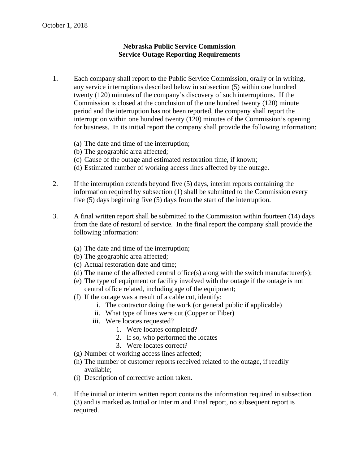## **Nebraska Public Service Commission Service Outage Reporting Requirements**

- 1. Each company shall report to the Public Service Commission, orally or in writing, any service interruptions described below in subsection (5) within one hundred twenty (120) minutes of the company's discovery of such interruptions. If the Commission is closed at the conclusion of the one hundred twenty (120) minute period and the interruption has not been reported, the company shall report the interruption within one hundred twenty (120) minutes of the Commission's opening for business. In its initial report the company shall provide the following information:
	- (a) The date and time of the interruption;
	- (b) The geographic area affected;
	- (c) Cause of the outage and estimated restoration time, if known;
	- (d) Estimated number of working access lines affected by the outage.
- 2. If the interruption extends beyond five (5) days, interim reports containing the information required by subsection (1) shall be submitted to the Commission every five (5) days beginning five (5) days from the start of the interruption.
- 3. A final written report shall be submitted to the Commission within fourteen (14) days from the date of restoral of service. In the final report the company shall provide the following information:
	- (a) The date and time of the interruption;
	- (b) The geographic area affected;
	- (c) Actual restoration date and time;
	- (d) The name of the affected central office(s) along with the switch manufacturer(s);
	- (e) The type of equipment or facility involved with the outage if the outage is not central office related, including age of the equipment;
	- (f) If the outage was a result of a cable cut, identify:
		- i. The contractor doing the work (or general public if applicable)
		- ii. What type of lines were cut (Copper or Fiber)
		- iii. Were locates requested?
			- 1. Were locates completed?
			- 2. If so, who performed the locates
			- 3. Were locates correct?
	- (g) Number of working access lines affected;
	- (h) The number of customer reports received related to the outage, if readily available;
	- (i) Description of corrective action taken.
- 4. If the initial or interim written report contains the information required in subsection (3) and is marked as Initial or Interim and Final report, no subsequent report is required.